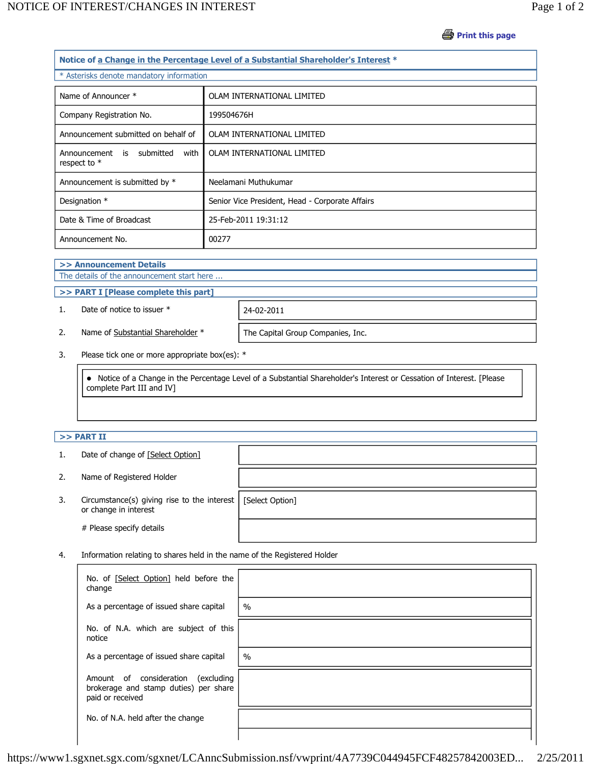**Print this page** 

|  |                                                        | Notice of a Change in the Percentage Level of a Substantial Shareholder's Interest * |  |
|--|--------------------------------------------------------|--------------------------------------------------------------------------------------|--|
|  | * Asterisks denote mandatory information               |                                                                                      |  |
|  | Name of Announcer *                                    | OLAM INTERNATIONAL LIMITED                                                           |  |
|  | Company Registration No.                               | 199504676H                                                                           |  |
|  | Announcement submitted on behalf of                    | OLAM INTERNATIONAL LIMITED                                                           |  |
|  | is submitted<br>with<br>Announcement<br>respect to $*$ | OLAM INTERNATIONAL LIMITED                                                           |  |
|  | Announcement is submitted by *                         | Neelamani Muthukumar                                                                 |  |
|  | Designation *                                          | Senior Vice President, Head - Corporate Affairs                                      |  |
|  | Date & Time of Broadcast                               | 25-Feb-2011 19:31:12                                                                 |  |
|  | Announcement No.                                       | 00277                                                                                |  |

**>> Announcement Details**

The details of the announcement start here ...

**>> PART I [Please complete this part]**

1. Date of notice to issuer \* 24-02-2011

2. Name of Substantial Shareholder \* The Capital Group Companies, Inc.

3. Please tick one or more appropriate box(es): \*

 Notice of a Change in the Percentage Level of a Substantial Shareholder's Interest or Cessation of Interest. [Please complete Part III and IV]

## **>> PART II**

- 1. Date of change of [Select Option]
- 2. Name of Registered Holder
- 3. Circumstance(s) giving rise to the interest or change in interest

# Please specify details

[Select Option]

4. Information relating to shares held in the name of the Registered Holder

| No. of [Select Option] held before the<br>change                                                   |               |
|----------------------------------------------------------------------------------------------------|---------------|
| As a percentage of issued share capital                                                            | $\frac{0}{0}$ |
| No. of N.A. which are subject of this<br>notice                                                    |               |
| As a percentage of issued share capital                                                            | $\frac{0}{0}$ |
| Amount of consideration<br>(excluding<br>brokerage and stamp duties) per share<br>paid or received |               |
| No. of N.A. held after the change                                                                  |               |
|                                                                                                    |               |